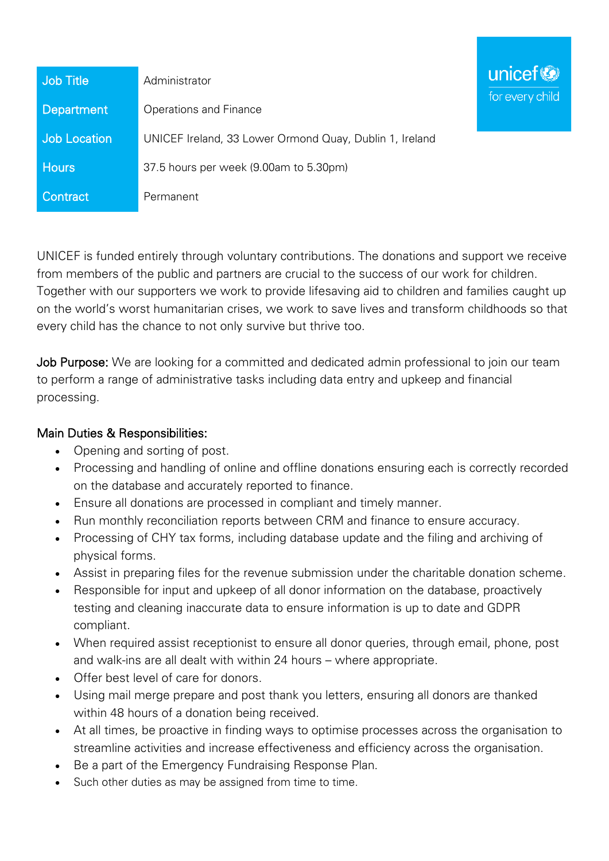| <b>Job Title</b>    | Administrator                                           |
|---------------------|---------------------------------------------------------|
| Department          | Operations and Finance                                  |
| <b>Job Location</b> | UNICEF Ireland, 33 Lower Ormond Quay, Dublin 1, Ireland |
| <b>Hours</b>        | 37.5 hours per week (9.00am to 5.30pm)                  |
| Contract,           | Permanent                                               |

UNICEF is funded entirely through voluntary contributions. The donations and support we receive from members of the public and partners are crucial to the success of our work for children. Together with our supporters we work to provide lifesaving aid to children and families caught up on the world's worst humanitarian crises, we work to save lives and transform childhoods so that every child has the chance to not only survive but thrive too.

unicef<sup>(3)</sup>

for every child

Job Purpose: We are looking for a committed and dedicated admin professional to join our team to perform a range of administrative tasks including data entry and upkeep and financial processing.

## Main Duties & Responsibilities:

- Opening and sorting of post.
- Processing and handling of online and offline donations ensuring each is correctly recorded on the database and accurately reported to finance.
- Ensure all donations are processed in compliant and timely manner.
- Run monthly reconciliation reports between CRM and finance to ensure accuracy.
- Processing of CHY tax forms, including database update and the filing and archiving of physical forms.
- Assist in preparing files for the revenue submission under the charitable donation scheme.
- Responsible for input and upkeep of all donor information on the database, proactively testing and cleaning inaccurate data to ensure information is up to date and GDPR compliant.
- When required assist receptionist to ensure all donor queries, through email, phone, post and walk-ins are all dealt with within 24 hours – where appropriate.
- Offer best level of care for donors.
- Using mail merge prepare and post thank you letters, ensuring all donors are thanked within 48 hours of a donation being received.
- At all times, be proactive in finding ways to optimise processes across the organisation to streamline activities and increase effectiveness and efficiency across the organisation.
- Be a part of the Emergency Fundraising Response Plan.
- Such other duties as may be assigned from time to time.